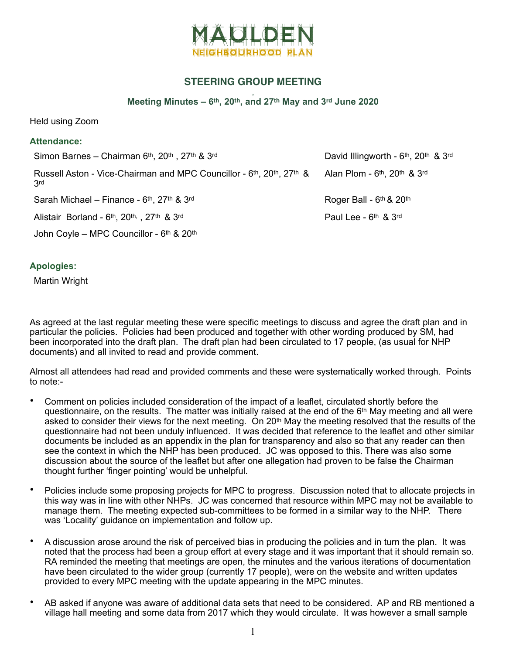

## **STEERING GROUP MEETING**

, **Meeting Minutes – 6th, 20th, and 27th May and 3rd June 2020** 

Held using Zoom

| <b>Attendance:</b>                                                          |                                                        |
|-----------------------------------------------------------------------------|--------------------------------------------------------|
| Simon Barnes - Chairman 6th, 20th, 27th & 3rd                               | David Illingworth - 6th, 20th & 3rd                    |
| Russell Aston - Vice-Chairman and MPC Councillor - 6th, 20th, 27th &<br>3rd | Alan Plom - $6th$ , 20 <sup>th</sup> & 3 <sup>rd</sup> |
| Sarah Michael - Finance - 6th, 27th & 3rd                                   | Roger Ball - 6th & 20th                                |
| Alistair Borland - 6th, 20th, 27th & 3rd                                    | Paul Lee - $6th$ & $3rd$                               |
| John Coyle – MPC Councillor - $6th$ & 20 <sup>th</sup>                      |                                                        |

## **Apologies:**

Martin Wright

As agreed at the last regular meeting these were specific meetings to discuss and agree the draft plan and in particular the policies. Policies had been produced and together with other wording produced by SM, had been incorporated into the draft plan. The draft plan had been circulated to 17 people, (as usual for NHP documents) and all invited to read and provide comment.

Almost all attendees had read and provided comments and these were systematically worked through. Points to note:-

- Comment on policies included consideration of the impact of a leaflet, circulated shortly before the questionnaire, on the results. The matter was initially raised at the end of the 6th May meeting and all were asked to consider their views for the next meeting. On 20th May the meeting resolved that the results of the questionnaire had not been unduly influenced. It was decided that reference to the leaflet and other similar documents be included as an appendix in the plan for transparency and also so that any reader can then see the context in which the NHP has been produced. JC was opposed to this. There was also some discussion about the source of the leaflet but after one allegation had proven to be false the Chairman thought further 'finger pointing' would be unhelpful.
- Policies include some proposing projects for MPC to progress. Discussion noted that to allocate projects in this way was in line with other NHPs. JC was concerned that resource within MPC may not be available to manage them. The meeting expected sub-committees to be formed in a similar way to the NHP. There was 'Locality' guidance on implementation and follow up.
- A discussion arose around the risk of perceived bias in producing the policies and in turn the plan. It was noted that the process had been a group effort at every stage and it was important that it should remain so. RA reminded the meeting that meetings are open, the minutes and the various iterations of documentation have been circulated to the wider group (currently 17 people), were on the website and written updates provided to every MPC meeting with the update appearing in the MPC minutes.
- AB asked if anyone was aware of additional data sets that need to be considered. AP and RB mentioned a village hall meeting and some data from 2017 which they would circulate. It was however a small sample